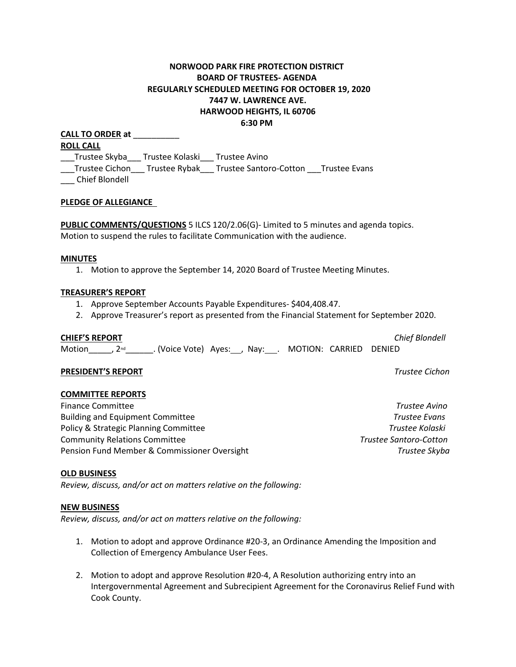# **NORWOOD PARK FIRE PROTECTION DISTRICT BOARD OF TRUSTEES- AGENDA REGULARLY SCHEDULED MEETING FOR OCTOBER 19, 2020 7447 W. LAWRENCE AVE. HARWOOD HEIGHTS, IL 60706 6:30 PM**

**CALL TO ORDER at** \_\_\_\_\_\_\_\_\_\_ **ROLL CALL** \_\_\_Trustee Skyba\_\_\_ Trustee Kolaski\_\_\_ Trustee Avino \_\_\_Trustee Cichon\_\_\_ Trustee Rybak\_\_\_ Trustee Santoro-Cotton \_\_\_Trustee Evans \_\_\_ Chief Blondell

# **PLEDGE OF ALLEGIANCE**

**PUBLIC COMMENTS/QUESTIONS** 5 ILCS 120/2.06(G)- Limited to 5 minutes and agenda topics. Motion to suspend the rules to facilitate Communication with the audience.

#### **MINUTES**

1. Motion to approve the September 14, 2020 Board of Trustee Meeting Minutes.

#### **TREASURER'S REPORT**

- 1. Approve September Accounts Payable Expenditures- \$404,408.47.
- 2. Approve Treasurer's report as presented from the Financial Statement for September 2020.

**CHIEF'S REPORT** *Chief Blondell*

Motion  $\qquad$ , 2<sup>nd</sup> . (Voice Vote) Ayes: , Nay: . MOTION: CARRIED DENIED

# **PRESIDENT'S REPORT** *Trustee Cichon*

# **COMMITTEE REPORTS**

Finance Committee *Trustee Avino* Building and Equipment Committee *Trustee Evans* Policy & Strategic Planning Committee *Trustee Kolaski* Community Relations Committee *Trustee Santoro-Cotton*  Pension Fund Member & Commissioner Oversight *Trustee Skyba*

# **OLD BUSINESS**

*Review, discuss, and/or act on matters relative on the following:*

#### **NEW BUSINESS**

*Review, discuss, and/or act on matters relative on the following:*

- 1. Motion to adopt and approve Ordinance #20-3, an Ordinance Amending the Imposition and Collection of Emergency Ambulance User Fees.
- 2. Motion to adopt and approve Resolution #20-4, A Resolution authorizing entry into an Intergovernmental Agreement and Subrecipient Agreement for the Coronavirus Relief Fund with Cook County.